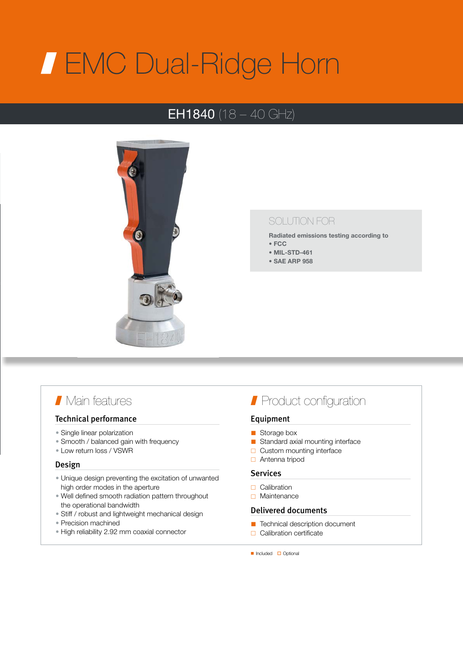# EMC Dual-Ridge Horn

## **EH1840** (18 – 40 GHz)



### SOLUTION FOR

Radiated emissions testing according to

- FCC
- MIL-STD-461
- SAE ARP 958

## Main features

#### Technical performance

- Single linear polarization
- Smooth / balanced gain with frequency
- Low return loss / VSWR

#### Design

- Unique design preventing the excitation of unwanted high order modes in the aperture
- Well defined smooth radiation pattern throughout the operational bandwidth
- Stiff / robust and lightweight mechanical design
- Precision machined
- High reliability 2.92 mm coaxial connector

## **Product configuration**

#### Equipment

- Storage box
- Standard axial mounting interface
- $\Box$  Custom mounting interface
- Antenna tripod

#### Services

- $\Box$  Calibration
- □ Maintenance

#### Delivered documents

- Technical description document
- $\Box$  Calibration certificate
- Included Optional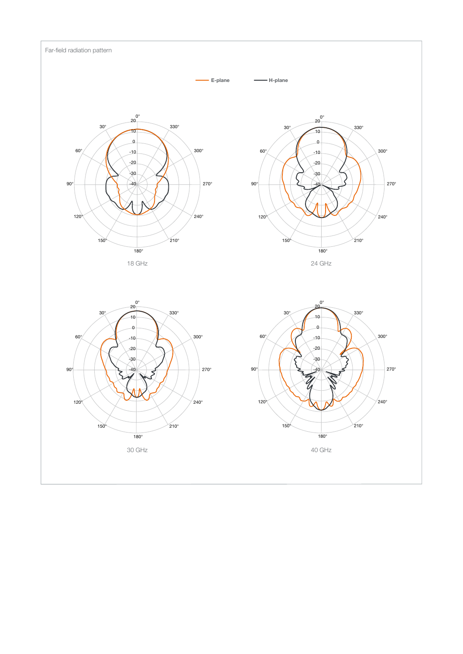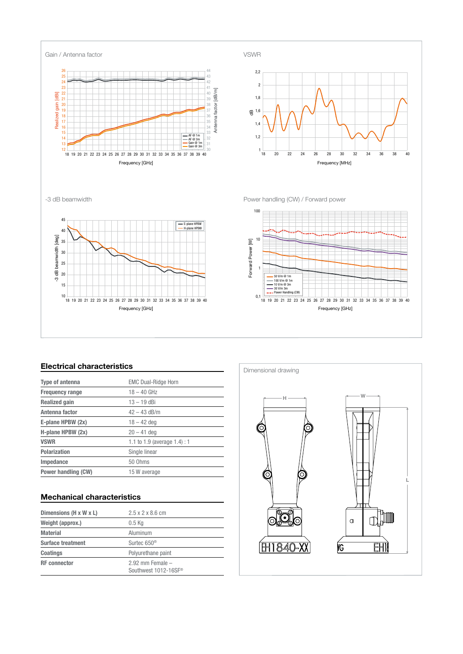

#### Electrical characteristics

| <b>Type of antenna</b> | <b>EMC Dual-Ridge Horn</b>      |
|------------------------|---------------------------------|
| <b>Frequency range</b> | $18 - 40$ GHz                   |
| <b>Realized gain</b>   | $13 - 19$ dBi                   |
| Antenna factor         | $42 - 43$ dB/m                  |
| E-plane HPBW (2x)      | $18 - 42$ dea                   |
| H-plane HPBW (2x)      | $20 - 41$ deg                   |
| <b>VSWR</b>            | 1.1 to 1.9 (average $1.4$ ) : 1 |
| <b>Polarization</b>    | Single linear                   |
| Impedance              | 50 Ohms                         |
| Power handling (CW)    | 15 W average                    |

#### Mechanical characteristics

| Dimensions (H x W x L)   | $2.5 \times 2 \times 8.6$ cm                 |
|--------------------------|----------------------------------------------|
| Weight (approx.)         | $0.5$ Kg                                     |
| <b>Material</b>          | Aluminum                                     |
| <b>Surface treatment</b> | Surtec 650 <sup>®</sup>                      |
| <b>Coatings</b>          | Polyurethane paint                           |
| <b>RF</b> connector      | $2.92$ mm Female $-$<br>Southwest 1012-16SF® |